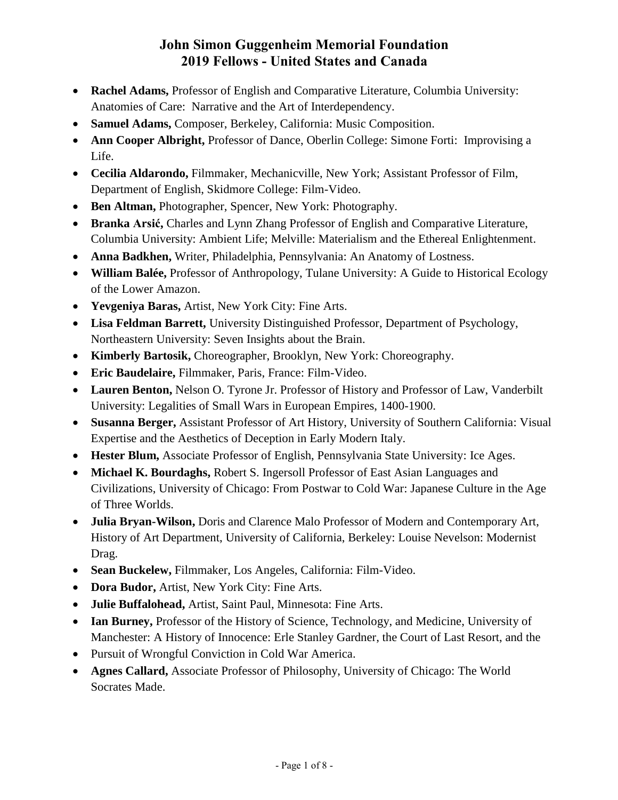- **Rachel Adams,** Professor of English and Comparative Literature, Columbia University: Anatomies of Care: Narrative and the Art of Interdependency.
- **Samuel Adams,** Composer, Berkeley, California: Music Composition.
- **Ann Cooper Albright,** Professor of Dance, Oberlin College: Simone Forti: Improvising a Life.
- **Cecilia Aldarondo,** Filmmaker, Mechanicville, New York; Assistant Professor of Film, Department of English, Skidmore College: Film-Video.
- **Ben Altman,** Photographer, Spencer, New York: Photography.
- **Branka Arsić,** Charles and Lynn Zhang Professor of English and Comparative Literature, Columbia University: Ambient Life; Melville: Materialism and the Ethereal Enlightenment.
- **Anna Badkhen,** Writer, Philadelphia, Pennsylvania: An Anatomy of Lostness.
- **William Balée,** Professor of Anthropology, Tulane University: A Guide to Historical Ecology of the Lower Amazon.
- **Yevgeniya Baras,** Artist, New York City: Fine Arts.
- **Lisa Feldman Barrett,** University Distinguished Professor, Department of Psychology, Northeastern University: Seven Insights about the Brain.
- **Kimberly Bartosik,** Choreographer, Brooklyn, New York: Choreography.
- **Eric Baudelaire,** Filmmaker, Paris, France: Film-Video.
- **Lauren Benton,** Nelson O. Tyrone Jr. Professor of History and Professor of Law, Vanderbilt University: Legalities of Small Wars in European Empires, 1400-1900.
- **Susanna Berger,** Assistant Professor of Art History, University of Southern California: Visual Expertise and the Aesthetics of Deception in Early Modern Italy.
- **Hester Blum,** Associate Professor of English, Pennsylvania State University: Ice Ages.
- **Michael K. Bourdaghs,** Robert S. Ingersoll Professor of East Asian Languages and Civilizations, University of Chicago: From Postwar to Cold War: Japanese Culture in the Age of Three Worlds.
- **Julia Bryan-Wilson,** Doris and Clarence Malo Professor of Modern and Contemporary Art, History of Art Department, University of California, Berkeley: Louise Nevelson: Modernist Drag.
- **Sean Buckelew,** Filmmaker, Los Angeles, California: Film-Video.
- **Dora Budor,** Artist, New York City: Fine Arts.
- **Julie Buffalohead,** Artist, Saint Paul, Minnesota: Fine Arts.
- **Ian Burney,** Professor of the History of Science, Technology, and Medicine, University of Manchester: A History of Innocence: Erle Stanley Gardner, the Court of Last Resort, and the
- Pursuit of Wrongful Conviction in Cold War America.
- **Agnes Callard,** Associate Professor of Philosophy, University of Chicago: The World Socrates Made.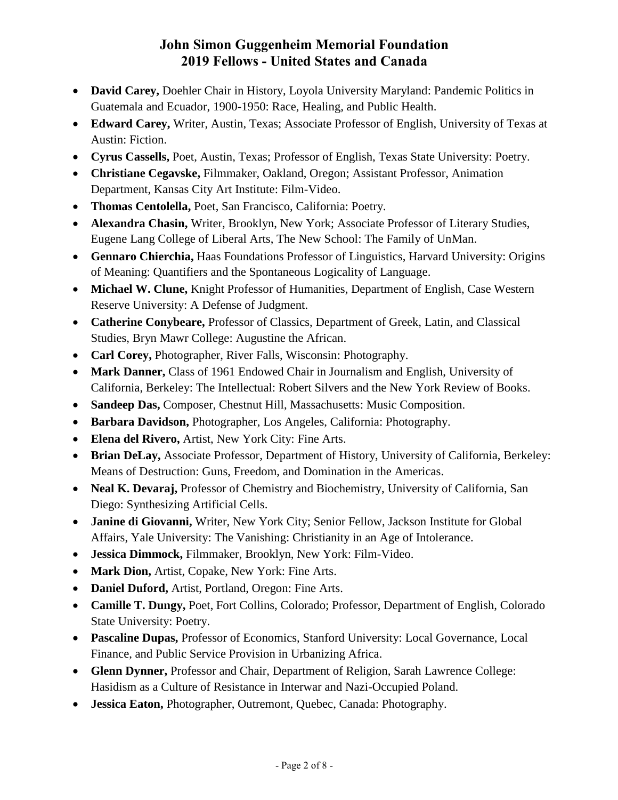- **David Carey,** Doehler Chair in History, Loyola University Maryland: Pandemic Politics in Guatemala and Ecuador, 1900-1950: Race, Healing, and Public Health.
- **Edward Carey,** Writer, Austin, Texas; Associate Professor of English, University of Texas at Austin: Fiction.
- **Cyrus Cassells,** Poet, Austin, Texas; Professor of English, Texas State University: Poetry.
- **Christiane Cegavske,** Filmmaker, Oakland, Oregon; Assistant Professor, Animation Department, Kansas City Art Institute: Film-Video.
- **Thomas Centolella,** Poet, San Francisco, California: Poetry.
- **Alexandra Chasin,** Writer, Brooklyn, New York; Associate Professor of Literary Studies, Eugene Lang College of Liberal Arts, The New School: The Family of UnMan.
- **Gennaro Chierchia,** Haas Foundations Professor of Linguistics, Harvard University: Origins of Meaning: Quantifiers and the Spontaneous Logicality of Language.
- **Michael W. Clune,** Knight Professor of Humanities, Department of English, Case Western Reserve University: A Defense of Judgment.
- **Catherine Conybeare,** Professor of Classics, Department of Greek, Latin, and Classical Studies, Bryn Mawr College: Augustine the African.
- **Carl Corey,** Photographer, River Falls, Wisconsin: Photography.
- **Mark Danner,** Class of 1961 Endowed Chair in Journalism and English, University of California, Berkeley: The Intellectual: Robert Silvers and the New York Review of Books.
- **Sandeep Das,** Composer, Chestnut Hill, Massachusetts: Music Composition.
- **Barbara Davidson,** Photographer, Los Angeles, California: Photography.
- **Elena del Rivero,** Artist, New York City: Fine Arts.
- **Brian DeLay,** Associate Professor, Department of History, University of California, Berkeley: Means of Destruction: Guns, Freedom, and Domination in the Americas.
- **Neal K. Devaraj,** Professor of Chemistry and Biochemistry, University of California, San Diego: Synthesizing Artificial Cells.
- **Janine di Giovanni,** Writer, New York City; Senior Fellow, Jackson Institute for Global Affairs, Yale University: The Vanishing: Christianity in an Age of Intolerance.
- **Jessica Dimmock,** Filmmaker, Brooklyn, New York: Film-Video.
- **Mark Dion,** Artist, Copake, New York: Fine Arts.
- **Daniel Duford,** Artist, Portland, Oregon: Fine Arts.
- **Camille T. Dungy,** Poet, Fort Collins, Colorado; Professor, Department of English, Colorado State University: Poetry.
- **Pascaline Dupas,** Professor of Economics, Stanford University: Local Governance, Local Finance, and Public Service Provision in Urbanizing Africa.
- **Glenn Dynner,** Professor and Chair, Department of Religion, Sarah Lawrence College: Hasidism as a Culture of Resistance in Interwar and Nazi-Occupied Poland.
- **Jessica Eaton,** Photographer, Outremont, Quebec, Canada: Photography.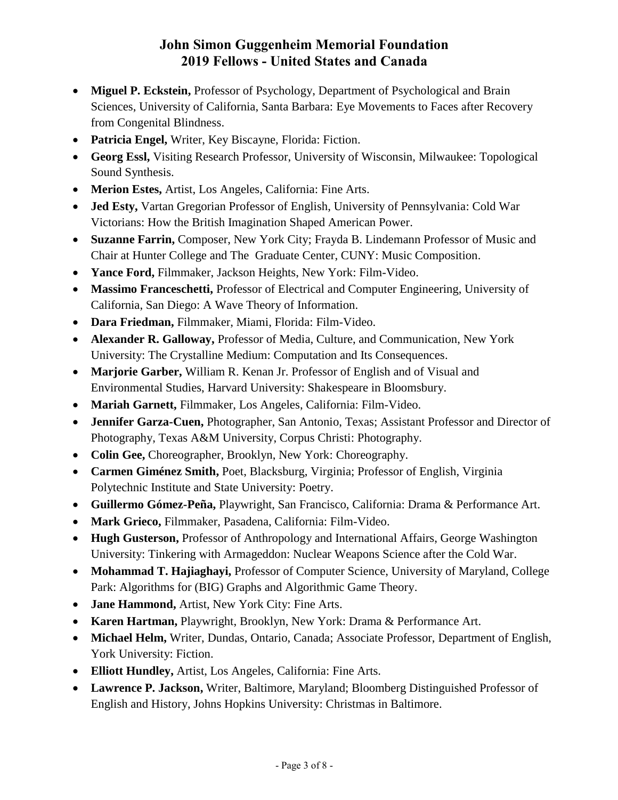- **Miguel P. Eckstein,** Professor of Psychology, Department of Psychological and Brain Sciences, University of California, Santa Barbara: Eye Movements to Faces after Recovery from Congenital Blindness.
- **Patricia Engel,** Writer, Key Biscayne, Florida: Fiction.
- **Georg Essl,** Visiting Research Professor, University of Wisconsin, Milwaukee: Topological Sound Synthesis.
- **Merion Estes,** Artist, Los Angeles, California: Fine Arts.
- **Jed Esty,** Vartan Gregorian Professor of English, University of Pennsylvania: Cold War Victorians: How the British Imagination Shaped American Power.
- **Suzanne Farrin,** Composer, New York City; Frayda B. Lindemann Professor of Music and Chair at Hunter College and The Graduate Center, CUNY: Music Composition.
- **Yance Ford,** Filmmaker, Jackson Heights, New York: Film-Video.
- **Massimo Franceschetti,** Professor of Electrical and Computer Engineering, University of California, San Diego: A Wave Theory of Information.
- **Dara Friedman,** Filmmaker, Miami, Florida: Film-Video.
- **Alexander R. Galloway,** Professor of Media, Culture, and Communication, New York University: The Crystalline Medium: Computation and Its Consequences.
- **Marjorie Garber,** William R. Kenan Jr. Professor of English and of Visual and Environmental Studies, Harvard University: Shakespeare in Bloomsbury.
- **Mariah Garnett,** Filmmaker, Los Angeles, California: Film-Video.
- **Jennifer Garza-Cuen,** Photographer, San Antonio, Texas; Assistant Professor and Director of Photography, Texas A&M University, Corpus Christi: Photography.
- **Colin Gee,** Choreographer, Brooklyn, New York: Choreography.
- **Carmen Giménez Smith,** Poet, Blacksburg, Virginia; Professor of English, Virginia Polytechnic Institute and State University: Poetry.
- **Guillermo Gómez-Peña,** Playwright, San Francisco, California: Drama & Performance Art.
- **Mark Grieco,** Filmmaker, Pasadena, California: Film-Video.
- **Hugh Gusterson,** Professor of Anthropology and International Affairs, George Washington University: Tinkering with Armageddon: Nuclear Weapons Science after the Cold War.
- **Mohammad T. Hajiaghayi,** Professor of Computer Science, University of Maryland, College Park: Algorithms for (BIG) Graphs and Algorithmic Game Theory.
- **Jane Hammond,** Artist, New York City: Fine Arts.
- **Karen Hartman,** Playwright, Brooklyn, New York: Drama & Performance Art.
- **Michael Helm,** Writer, Dundas, Ontario, Canada; Associate Professor, Department of English, York University: Fiction.
- **Elliott Hundley,** Artist, Los Angeles, California: Fine Arts.
- **Lawrence P. Jackson,** Writer, Baltimore, Maryland; Bloomberg Distinguished Professor of English and History, Johns Hopkins University: Christmas in Baltimore.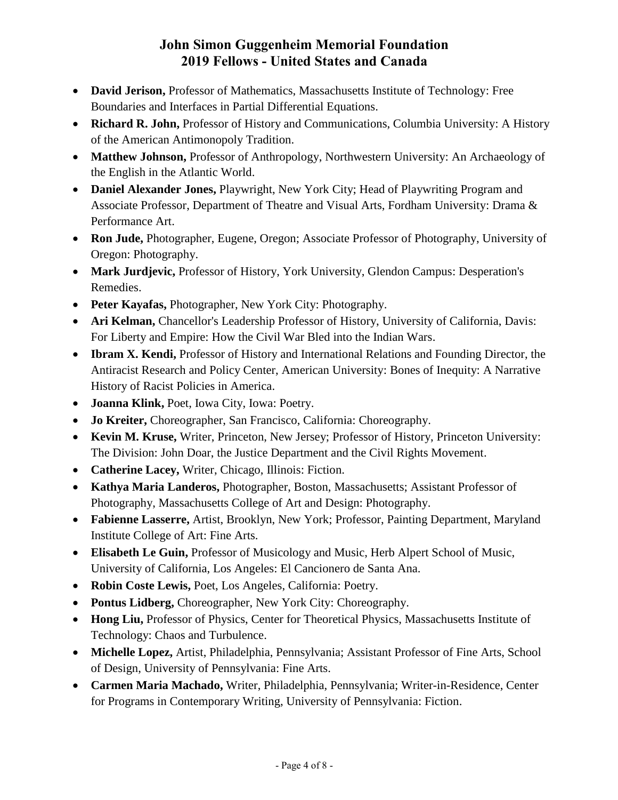- **David Jerison,** Professor of Mathematics, Massachusetts Institute of Technology: Free Boundaries and Interfaces in Partial Differential Equations.
- **Richard R. John,** Professor of History and Communications, Columbia University: A History of the American Antimonopoly Tradition.
- Matthew Johnson, Professor of Anthropology, Northwestern University: An Archaeology of the English in the Atlantic World.
- **Daniel Alexander Jones,** Playwright, New York City; Head of Playwriting Program and Associate Professor, Department of Theatre and Visual Arts, Fordham University: Drama & Performance Art.
- **Ron Jude,** Photographer, Eugene, Oregon; Associate Professor of Photography, University of Oregon: Photography.
- **Mark Jurdjevic,** Professor of History, York University, Glendon Campus: Desperation's Remedies.
- **Peter Kayafas,** Photographer, New York City: Photography.
- **Ari Kelman,** Chancellor's Leadership Professor of History, University of California, Davis: For Liberty and Empire: How the Civil War Bled into the Indian Wars.
- **Ibram X. Kendi,** Professor of History and International Relations and Founding Director, the Antiracist Research and Policy Center, American University: Bones of Inequity: A Narrative History of Racist Policies in America.
- **Joanna Klink,** Poet, Iowa City, Iowa: Poetry.
- **Jo Kreiter,** Choreographer, San Francisco, California: Choreography.
- **Kevin M. Kruse,** Writer, Princeton, New Jersey; Professor of History, Princeton University: The Division: John Doar, the Justice Department and the Civil Rights Movement.
- **Catherine Lacey,** Writer, Chicago, Illinois: Fiction.
- **Kathya Maria Landeros,** Photographer, Boston, Massachusetts; Assistant Professor of Photography, Massachusetts College of Art and Design: Photography.
- **Fabienne Lasserre,** Artist, Brooklyn, New York; Professor, Painting Department, Maryland Institute College of Art: Fine Arts.
- **Elisabeth Le Guin,** Professor of Musicology and Music, Herb Alpert School of Music, University of California, Los Angeles: El Cancionero de Santa Ana.
- **Robin Coste Lewis,** Poet, Los Angeles, California: Poetry.
- **Pontus Lidberg,** Choreographer, New York City: Choreography.
- **Hong Liu,** Professor of Physics, Center for Theoretical Physics, Massachusetts Institute of Technology: Chaos and Turbulence.
- **Michelle Lopez,** Artist, Philadelphia, Pennsylvania; Assistant Professor of Fine Arts, School of Design, University of Pennsylvania: Fine Arts.
- **Carmen Maria Machado,** Writer, Philadelphia, Pennsylvania; Writer-in-Residence, Center for Programs in Contemporary Writing, University of Pennsylvania: Fiction.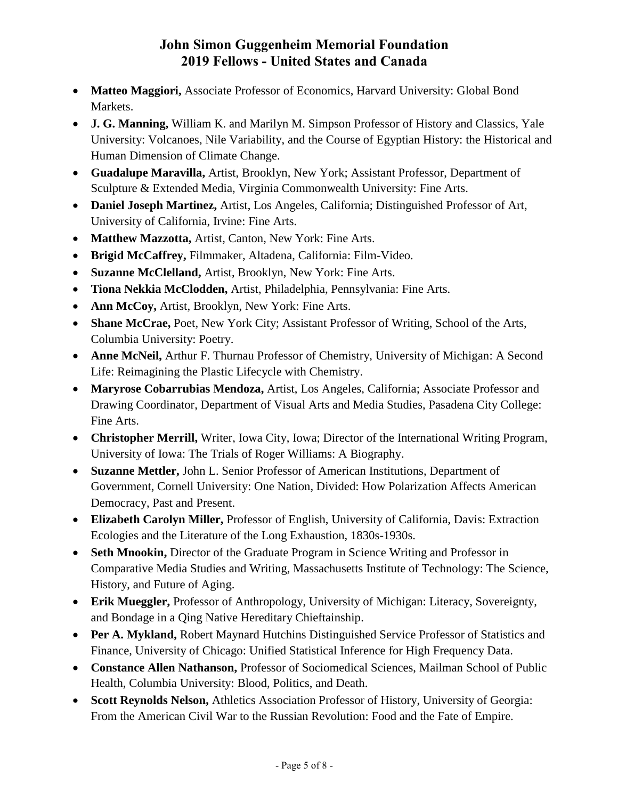- **Matteo Maggiori,** Associate Professor of Economics, Harvard University: Global Bond Markets.
- **J. G. Manning,** William K. and Marilyn M. Simpson Professor of History and Classics, Yale University: Volcanoes, Nile Variability, and the Course of Egyptian History: the Historical and Human Dimension of Climate Change.
- **Guadalupe Maravilla,** Artist, Brooklyn, New York; Assistant Professor, Department of Sculpture & Extended Media, Virginia Commonwealth University: Fine Arts.
- **Daniel Joseph Martinez,** Artist, Los Angeles, California; Distinguished Professor of Art, University of California, Irvine: Fine Arts.
- **Matthew Mazzotta,** Artist, Canton, New York: Fine Arts.
- **Brigid McCaffrey,** Filmmaker, Altadena, California: Film-Video.
- **Suzanne McClelland,** Artist, Brooklyn, New York: Fine Arts.
- **Tiona Nekkia McClodden,** Artist, Philadelphia, Pennsylvania: Fine Arts.
- **Ann McCoy,** Artist, Brooklyn, New York: Fine Arts.
- **Shane McCrae,** Poet, New York City; Assistant Professor of Writing, School of the Arts, Columbia University: Poetry.
- **Anne McNeil,** Arthur F. Thurnau Professor of Chemistry, University of Michigan: A Second Life: Reimagining the Plastic Lifecycle with Chemistry.
- **Maryrose Cobarrubias Mendoza,** Artist, Los Angeles, California; Associate Professor and Drawing Coordinator, Department of Visual Arts and Media Studies, Pasadena City College: Fine Arts.
- **Christopher Merrill,** Writer, Iowa City, Iowa; Director of the International Writing Program, University of Iowa: The Trials of Roger Williams: A Biography.
- **Suzanne Mettler,** John L. Senior Professor of American Institutions, Department of Government, Cornell University: One Nation, Divided: How Polarization Affects American Democracy, Past and Present.
- **Elizabeth Carolyn Miller,** Professor of English, University of California, Davis: Extraction Ecologies and the Literature of the Long Exhaustion, 1830s-1930s.
- **Seth Mnookin,** Director of the Graduate Program in Science Writing and Professor in Comparative Media Studies and Writing, Massachusetts Institute of Technology: The Science, History, and Future of Aging.
- **Erik Mueggler,** Professor of Anthropology, University of Michigan: Literacy, Sovereignty, and Bondage in a Qing Native Hereditary Chieftainship.
- **Per A. Mykland,** Robert Maynard Hutchins Distinguished Service Professor of Statistics and Finance, University of Chicago: Unified Statistical Inference for High Frequency Data.
- **Constance Allen Nathanson,** Professor of Sociomedical Sciences, Mailman School of Public Health, Columbia University: Blood, Politics, and Death.
- **Scott Reynolds Nelson,** Athletics Association Professor of History, University of Georgia: From the American Civil War to the Russian Revolution: Food and the Fate of Empire.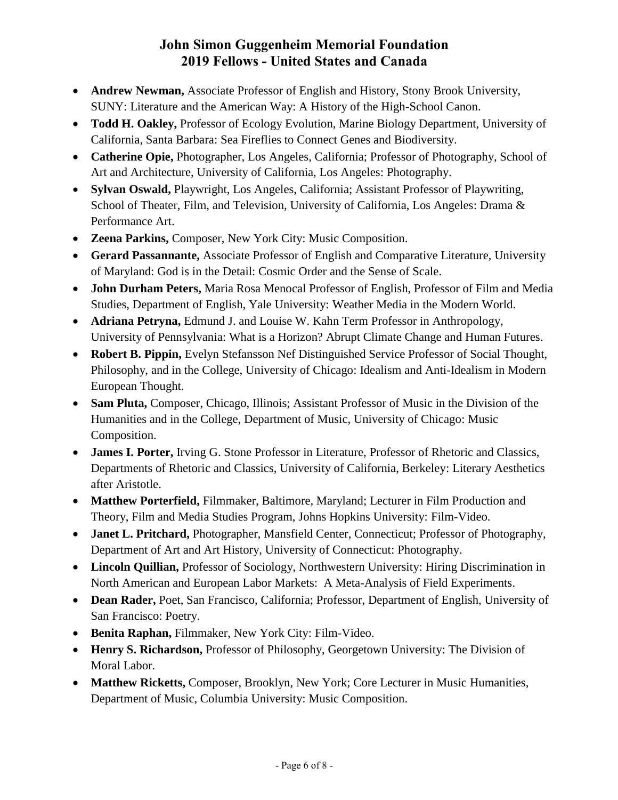- **Andrew Newman,** Associate Professor of English and History, Stony Brook University, SUNY: Literature and the American Way: A History of the High-School Canon.
- **Todd H. Oakley,** Professor of Ecology Evolution, Marine Biology Department, University of California, Santa Barbara: Sea Fireflies to Connect Genes and Biodiversity.
- **Catherine Opie,** Photographer, Los Angeles, California; Professor of Photography, School of Art and Architecture, University of California, Los Angeles: Photography.
- **Sylvan Oswald,** Playwright, Los Angeles, California; Assistant Professor of Playwriting, School of Theater, Film, and Television, University of California, Los Angeles: Drama & Performance Art.
- **Zeena Parkins,** Composer, New York City: Music Composition.
- **Gerard Passannante,** Associate Professor of English and Comparative Literature, University of Maryland: God is in the Detail: Cosmic Order and the Sense of Scale.
- **John Durham Peters,** Maria Rosa Menocal Professor of English, Professor of Film and Media Studies, Department of English, Yale University: Weather Media in the Modern World.
- **Adriana Petryna,** Edmund J. and Louise W. Kahn Term Professor in Anthropology, University of Pennsylvania: What is a Horizon? Abrupt Climate Change and Human Futures.
- **Robert B. Pippin,** Evelyn Stefansson Nef Distinguished Service Professor of Social Thought, Philosophy, and in the College, University of Chicago: Idealism and Anti-Idealism in Modern European Thought.
- **Sam Pluta,** Composer, Chicago, Illinois; Assistant Professor of Music in the Division of the Humanities and in the College, Department of Music, University of Chicago: Music Composition.
- **James I. Porter,** Irving G. Stone Professor in Literature, Professor of Rhetoric and Classics, Departments of Rhetoric and Classics, University of California, Berkeley: Literary Aesthetics after Aristotle.
- **Matthew Porterfield,** Filmmaker, Baltimore, Maryland; Lecturer in Film Production and Theory, Film and Media Studies Program, Johns Hopkins University: Film-Video.
- **Janet L. Pritchard,** Photographer, Mansfield Center, Connecticut; Professor of Photography, Department of Art and Art History, University of Connecticut: Photography.
- **Lincoln Quillian,** Professor of Sociology, Northwestern University: Hiring Discrimination in North American and European Labor Markets: A Meta-Analysis of Field Experiments.
- **Dean Rader,** Poet, San Francisco, California; Professor, Department of English, University of San Francisco: Poetry.
- **Benita Raphan,** Filmmaker, New York City: Film-Video.
- **Henry S. Richardson,** Professor of Philosophy, Georgetown University: The Division of Moral Labor.
- **Matthew Ricketts,** Composer, Brooklyn, New York; Core Lecturer in Music Humanities, Department of Music, Columbia University: Music Composition.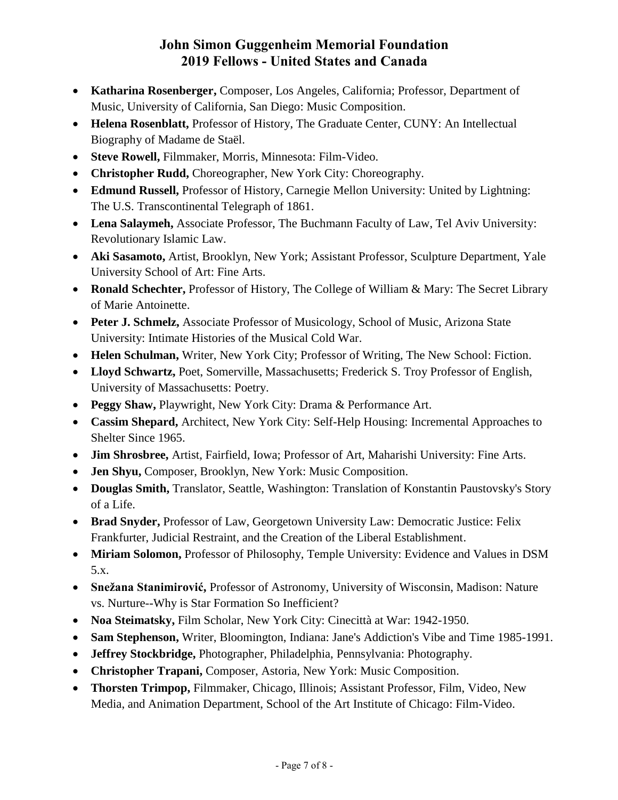- **Katharina Rosenberger,** Composer, Los Angeles, California; Professor, Department of Music, University of California, San Diego: Music Composition.
- **Helena Rosenblatt,** Professor of History, The Graduate Center, CUNY: An Intellectual Biography of Madame de Staël.
- **Steve Rowell,** Filmmaker, Morris, Minnesota: Film-Video.
- **Christopher Rudd,** Choreographer, New York City: Choreography.
- **Edmund Russell,** Professor of History, Carnegie Mellon University: United by Lightning: The U.S. Transcontinental Telegraph of 1861.
- **Lena Salaymeh,** Associate Professor, The Buchmann Faculty of Law, Tel Aviv University: Revolutionary Islamic Law.
- **Aki Sasamoto,** Artist, Brooklyn, New York; Assistant Professor, Sculpture Department, Yale University School of Art: Fine Arts.
- **Ronald Schechter,** Professor of History, The College of William & Mary: The Secret Library of Marie Antoinette.
- **Peter J. Schmelz,** Associate Professor of Musicology, School of Music, Arizona State University: Intimate Histories of the Musical Cold War.
- **Helen Schulman,** Writer, New York City; Professor of Writing, The New School: Fiction.
- **Lloyd Schwartz,** Poet, Somerville, Massachusetts; Frederick S. Troy Professor of English, University of Massachusetts: Poetry.
- **Peggy Shaw,** Playwright, New York City: Drama & Performance Art.
- **Cassim Shepard,** Architect, New York City: Self-Help Housing: Incremental Approaches to Shelter Since 1965.
- **Jim Shrosbree,** Artist, Fairfield, Iowa; Professor of Art, Maharishi University: Fine Arts.
- **Jen Shyu,** Composer, Brooklyn, New York: Music Composition.
- **Douglas Smith,** Translator, Seattle, Washington: Translation of Konstantin Paustovsky's Story of a Life.
- **Brad Snyder,** Professor of Law, Georgetown University Law: Democratic Justice: Felix Frankfurter, Judicial Restraint, and the Creation of the Liberal Establishment.
- **Miriam Solomon,** Professor of Philosophy, Temple University: Evidence and Values in DSM 5.x.
- **Snežana Stanimirović,** Professor of Astronomy, University of Wisconsin, Madison: Nature vs. Nurture--Why is Star Formation So Inefficient?
- **Noa Steimatsky,** Film Scholar, New York City: Cinecittà at War: 1942-1950.
- **Sam Stephenson,** Writer, Bloomington, Indiana: Jane's Addiction's Vibe and Time 1985-1991.
- **Jeffrey Stockbridge,** Photographer, Philadelphia, Pennsylvania: Photography.
- **Christopher Trapani,** Composer, Astoria, New York: Music Composition.
- **Thorsten Trimpop,** Filmmaker, Chicago, Illinois; Assistant Professor, Film, Video, New Media, and Animation Department, School of the Art Institute of Chicago: Film-Video.